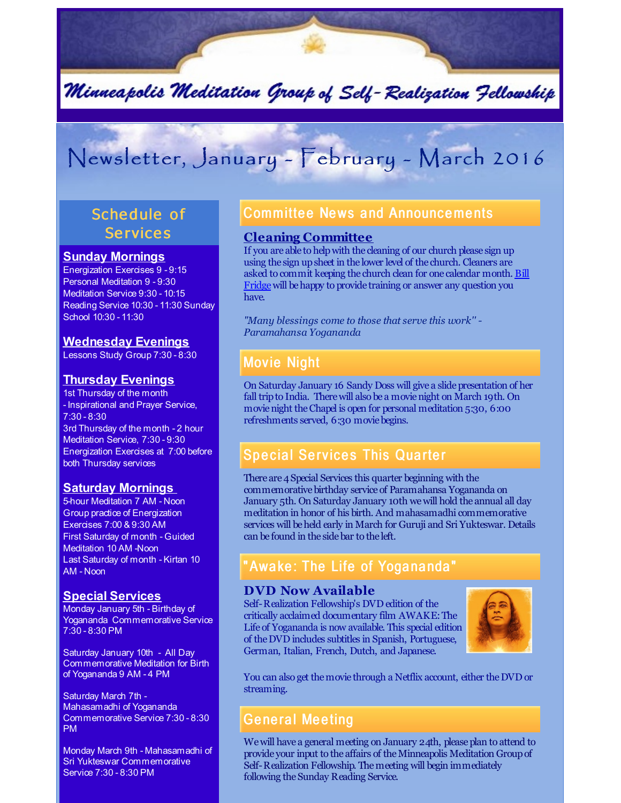

# Newsletter, January - February - March 2016

# Schedule of **Services**

#### **Sunday Mornings**

Energization Exercises 9 - 9:15 Personal Meditation 9 - 9:30 Meditation Service 9:30 - 10:15 Reading Service 10:30 - 11:30 Sunday School 10:30 - 11:30

#### **Wednesday Evenings**

Lessons Study Group 7:30 - 8:30

#### **Thursday Evenings**

1st Thursday of the month - Inspirational and Prayer Service, 7:30 - 8:30 3rd Thursday of the month - 2 hour Meditation Service, 7:30 - 9:30 Energization Exercises at 7:00 before both Thursday services

#### **Saturday Mornings**

5-hour Meditation 7 AM - Noon Group practice of Energization Exercises 7:00 & 9:30 AM First Saturday of month - Guided Meditation 10 AM -Noon Last Saturday of month - Kirtan 10 AM - Noon

#### **Special Services**

Monday January 5th - Birthday of Yogananda Commemorative Service 7:30 - 8:30 PM

Saturday January 10th - All Day Commemorative Meditation for Birth of Yogananda 9 AM - 4 PM

Saturday March 7th - Mahasamadhi of Yogananda Commemorative Service 7:30 - 8:30 PM

Monday March 9th - Mahasamadhi of Sri Yukteswar Commemorative Service 7:30 - 8:30 PM

## **Committee News and Announcements**

#### **Cleaning Committee**

If you are able to helpwith the cleaning of our church please sign up using the sign upsheet in the lower level of the church. Cleaners are asked to commit keeping the church clean for one calendar month. Bill [Fridgewill](mailto:williamfridge8976@gmail.com) behappy to provide training or answer any question you have.

*"Many blessings come to those that serve this work'' - Paramahansa Yogananda*

# **Movie Night**

On Saturday January 16 Sandy Doss will give a slidepresentation of her fall tripto India. Therewill also be a movienight on March 19th. On movienight theChapel is open for personal meditation 5:30, 6:00 refreshments served, 6:30 moviebegins.

## Special Services This Quarter

There are 4 Special Services this quarter beginning with the commemorative birthday service of Paramahansa Yogananda on January 5th. On Saturday January 10th wewill hold the annual all day meditation in honor of his birth. And mahasamadhi commemorative services will be held early in March for Guruji and Sri Yukteswar. Details can be found in the sidebar to the left.

# "Awake: The Life of Yogananda"

#### **DVD Now Available**

Self-Realization Fellowship's DVD edition of the critically acclaimed documentary film AWAKE:The Life of Yogananda is now available. This special edition of theDVD includes subtitles in Spanish, Portuguese, German, Italian, French, Dutch, and Japanese.



You can also get themovie through a Netflix account, either theDVD or streaming.

### General Meeting

We will have a general meeting on January 24th, please plan to attend to provide your input to the affairs of theMinneapolis Meditation Groupof Self-Realization Fellowship. Themeeting will begin immediately following the Sunday Reading Service.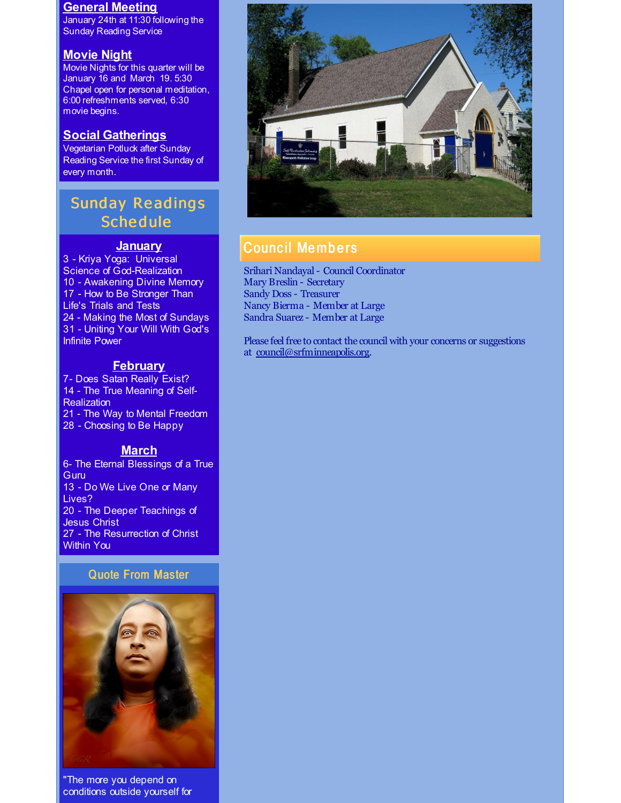#### **General Meeting**

January 24th at 11:30 following the Sunday Reading Service

#### **Movie Night**

Movie Nights for this quarter will be January 16 and March 19. 5:30 Chapel open for personal meditation, 6:00 refreshments served, 6:30 movie begins.

#### **Social Gatherings**

Vegetarian Potluck after Sunday Reading Service the first Sunday of every month.

# **Sunday Readings Schedule**

#### **January**

 - Kriya Yoga: Universal Science of God-Realization - Awakening Divine Memory - How to Be Stronger Than Life's Trials and Tests - Making the Most of Sundays - Uniting Your Will With God's Infinite Power

#### **February**

7- Does Satan Really Exist? 14 - The True Meaning of Self-**Realization** 21 - The Way to Mental Freedom 28 - Choosing to Be Happy

#### **March**

6- The Eternal Blessings of a True Guru 13 - Do We Live One or Many Lives? 20 - The Deeper Teachings of Jesus Christ 27 - The Resurrection of Christ Within You

#### Quote From Master



"The more you depend on conditions outside yourself for



## Counc il Memb e rs

Srihari Nandayal- Council Coordinator Mary Breslin - Secretary Sandy Doss - Treasurer Nancy Bierma - Member at Large Sandra Suarez - Member at Large

Please feel free to contact the council with your concerns or suggestions at [council@srfminneapolis.org](mailto:council@srfminneapolis.org).